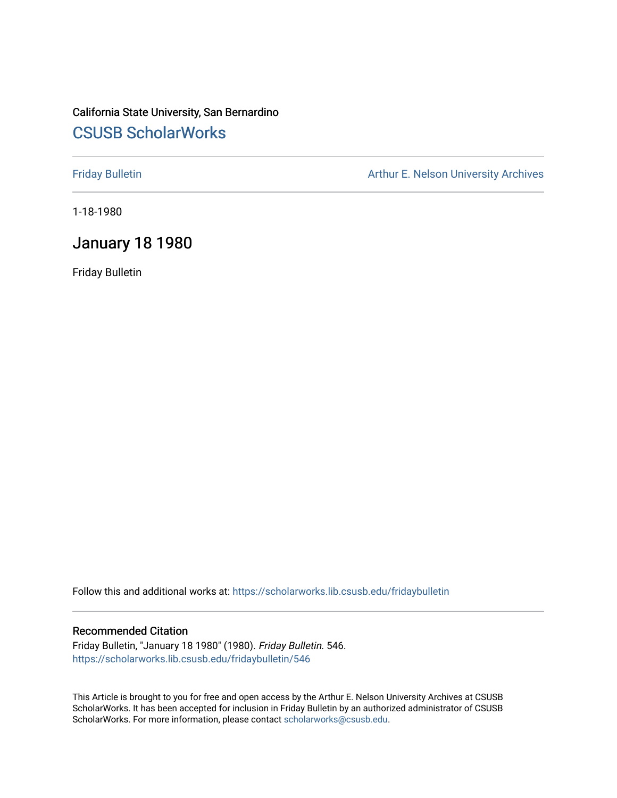# California State University, San Bernardino [CSUSB ScholarWorks](https://scholarworks.lib.csusb.edu/)

[Friday Bulletin](https://scholarworks.lib.csusb.edu/fridaybulletin) **Arthur E. Nelson University Archives** Arthur E. Nelson University Archives

1-18-1980

# January 18 1980

Friday Bulletin

Follow this and additional works at: [https://scholarworks.lib.csusb.edu/fridaybulletin](https://scholarworks.lib.csusb.edu/fridaybulletin?utm_source=scholarworks.lib.csusb.edu%2Ffridaybulletin%2F546&utm_medium=PDF&utm_campaign=PDFCoverPages)

### Recommended Citation

Friday Bulletin, "January 18 1980" (1980). Friday Bulletin. 546. [https://scholarworks.lib.csusb.edu/fridaybulletin/546](https://scholarworks.lib.csusb.edu/fridaybulletin/546?utm_source=scholarworks.lib.csusb.edu%2Ffridaybulletin%2F546&utm_medium=PDF&utm_campaign=PDFCoverPages)

This Article is brought to you for free and open access by the Arthur E. Nelson University Archives at CSUSB ScholarWorks. It has been accepted for inclusion in Friday Bulletin by an authorized administrator of CSUSB ScholarWorks. For more information, please contact [scholarworks@csusb.edu.](mailto:scholarworks@csusb.edu)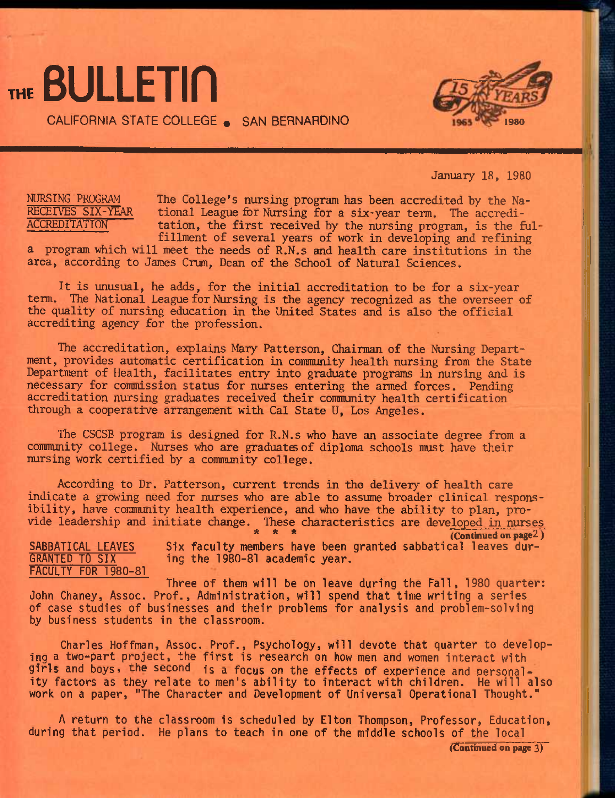THE **BULLETIN** 

CALIFORNIA STATE COLLEGE • SAN BERNARDINO **<sup>1980</sup>**



January 18, 1980

NURSING PROGRAM RECEIVES SIX-YEAR **ACCREDITATION** 

The College's nursing program has been accredited by the National League fer Nursing for a six-year term. The accreditation, the first received by the nursing program, is the fulfillment of several years of work in developing and refining

a program which will meet the needs of R.N.s and health care institutions in the area, according to James Crum, Dean of the School of Natural Sciences.

It is unusual, he adds, for the initial accreditation to be for a six-year term. The National League for Nursing is the agency recognized as the overseer of the quality of nursing education in the United States and is also the official accrediting agency for the profession.

The accreditation, explains Mary Patterson, Chairman of the Nursing Department, provides automatic certification in community health nursing from the State Department of Health, facilitates entry into graduate programs in nursing and is necessary for commission status for nurses entering the armed forces. Pending accreditation nursing graduates received their community health certification through a cooperative arrangement with Cal State U, Los Angeles.

The CSCSB program is designed for R.N.s who have an associate degree from a community college. Nurses who are graduates of diploma schools must have their nursing work certified by a community college.

According to Dr. Patterson, current trends in the delivery of health care indicate a growing need for nurses who are able to assume broader clinical responsibility, have community health experience, and who have the ability to plan, provide leadership and initiate change. These characteristics are developed in nurses

**\* \* \* (Continued on page2)**  Six faculty members have been granted sabbatical leaves during the 1980-81 academic year. SABBATICAL LEAVES GRANTED TO SIX FACULTY FOR 1980-81

Three of them will be on leave during the Fall, 1980 quarter: John Chaney, Assoc. Prof., Administration, will spend that time writing a series of case studies of businesses and their problems for analysis and problem-solving by business students in the classroom.

Charles Hoffman, Assoc. Prof., Psychology, will devote that quarter to developing a two-part project, the first is research on how men and women interact with girls and boys, the second is a focus on the effects of experience and personality factors as they relate to men's ability to interact with children. He will also work on a paper, "The Character and Development of Universal Operational Thought."

A return to the classroom is scheduled by Elton Thompson, Professor, Education, during that period. He plans to teach in one of the middle schools of the local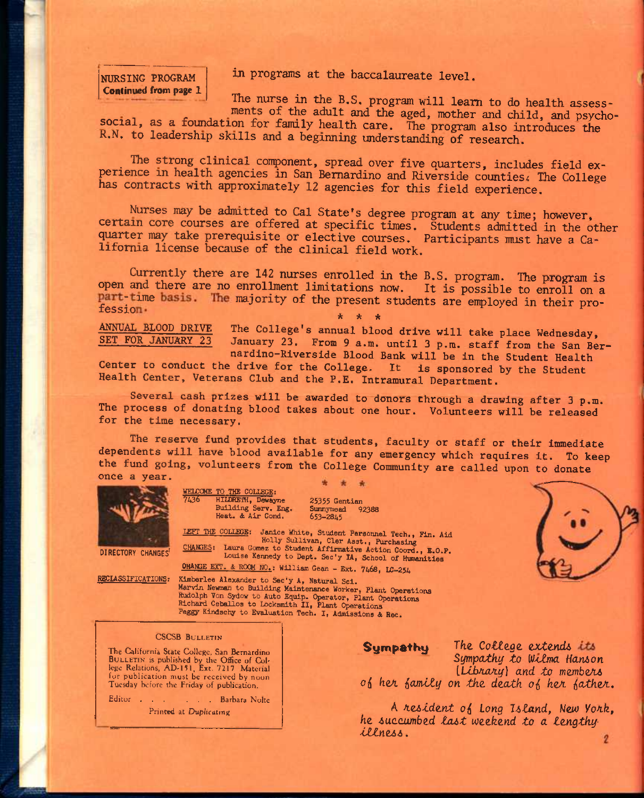NURSING PROGRAM **Continued from page 1**  in programs at the baccalaureate level.

The nurse in the B.S, program will leam to do health assess ments of the adult and the aged, mother and child, and psycho-

social, as a foundation for family health care. The program also introduces the K.N, to leadership skills and a beginning understanding of research.

The strong clinical component, spread over five quarters, includes field experience in health agencies in San Bernardino and Riverside counties. The College has contracts with approximately 12 agencies for this field experience.

Nurses may be admitted to Cal State's degree program at any time; however, certain core courses are offered at specific times. Students admitted in the other quarter may take prerequisite or elective courses. Participants must have a California license because of the clinical field work.

Currently there are 142 nurses enrolled in the B.S. program. The program is open and there are no enrollment limitations now. It is possible to enroll on a part-time basis. The majority of the present students are employed in their pro-<br>fession. **\* \* \*** 

MNUAL BLOOD DRIVE The College's annual blood drive will take place Wednesday, SET FOR JANUARY 23 January 23. From 9 a.m. until 3 p.m. staff from the San Bernardino-Riverside Blood Bank will be in the Student Health

Center to conduct the drive for the College. It is sponsored by the Student Health Center, Veterans Club and the P.E. Intramural Department.

Several cash prizes will be awarded to donors through a drawing after 3 p.m. The process of donating blood takes about one hour. Volunteers will be released for the time necessary.

The reserve fund provides that students, faculty or staff or their immediate dependents will have blood available for any emergency which requires it. To keep the fund going, volunteers from the College Community are called upon to donate once a year. \* \* \*



WELCOME TO THE COLLEGE:<br>7436 HILDRETH, Deway HILDRETH, Dewayne Building Serv. Eng. Heat. £ Air Cond.

25355 Gentian<br>Sunnymead 92388 Sunnymead 653-2845

lEFT THE COLIEGE; Janice White, Student Personnel Tech., Fin. Aid Holly Sullivan, Cler Asst., Purchasing DIRECTORY CHANGES<sup>; CHANGES;</sup> Laura Gomez to Student Affirmative Action Coord., E.O.P.<br>Louise Kennedy to Dept. Sec'y IA, School of Humanities

OHANGE EXT. & ROOM NO.: William Gean - Ext. 7468, LC-254

RECLASSIFICATIONS: Kimberlee Alexander to Sec'y A, Natural Sci. Marvin Newman to Building Maintenance Worker, Plant Operations Rudolph Von Sydow to Auto Equip. Operator, Plant Operations Richard Ceballoa to Locksmith II, Plant Operations Peggy Kindschy to Evaluation Tech. I, Admissions & Rec.

#### CSCSB BULLETIN

The California State College, San Bernardino BULLETIN is published by the Office of Col-lege Relations, AD-151, Ext. 7217. Material for publication must be received by noon Tuesday before the Friday of publication.

Editor Barbara Nolte Printed at Duplicating

Sympathy The College extends its *Sympatkf^ to Wcfma Hanion (Library)* and to members of her family on the death of her father.

A *Az^td&.nt* 0(S *Long UZand, ^Jew VoA-k,*  he succumbed last weekend to a lengthy *tti.nz66*.  $\overline{c}$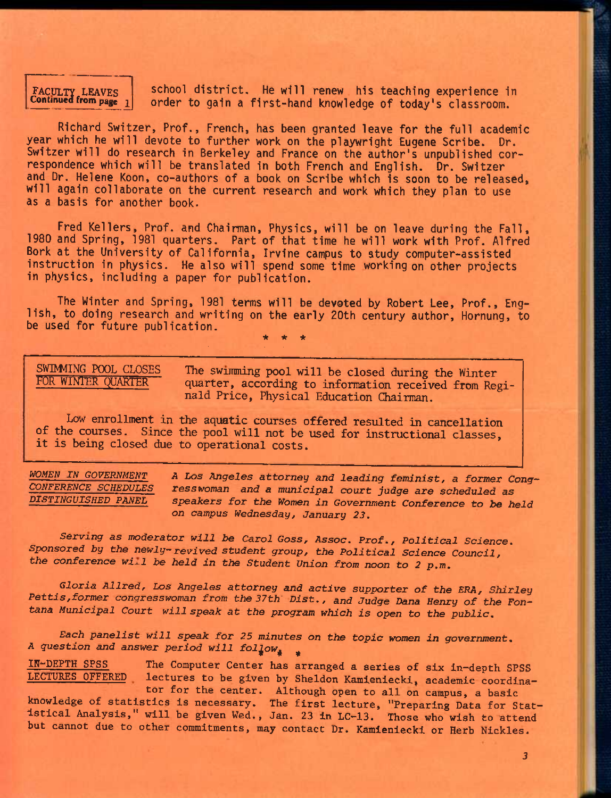# FACULTY LEAVES <br>Continued from page  $\frac{1}{1}$

school district. He will renew his teaching experience in order to gain a first-hand knowledge of today's classroom.

Richard Switzer, Prof., French, has been granted leave for the full academic year which he will devote to further work on the playwright Eugene Scribe. Dr. Switzer will do research in Berkeley and France on the author's unpublished correspondence which will be translated in both French and English. Dr. Switzer and Dr. Helene Koon, co-authors of a book on Scribe which is soon to be released, will again collaborate on the current research and work which they plan to use as a basis for another book.

Fred Kellers, Prof, and Chairman, Physics, will be on leave during the Fall, 1980 and Spring, 1981 quarters. Part of that time he will work with Prof. Alfred Bork at the University of California, Irvine campus to study computer-assisted instruction in physics. He also will spend some time working on other projects in physics, including a paper for publication.

The Winter and Spring, 1981 terms will be devoted by Robert Lee, Prof., English, to doing research and writing on the early 20th century author, Hornung, to be used for future publication.

**\* \* \*** 

SWIMMING POOL CLOSES The swimming pool will be closed during the Winter<br>FOR WINTER QUARTER quarter, according to information received from Req quarter, according to information received from Reginald Price, Physical Education Chairman.

Low enrollment in the aquatic courses offered resulted in cancellation of the courses. Since the pool will not be used for instructional classes, it is being closed due to operational costs.

WOMEN IN GOVERNMENT A Los Angeles attorney and leading feminist, a former Cong-<br>CONFERENCE SCHEDULES resswoman and a municinal court indee are scheduled as *CONFERENCE SCHEDULES resswoman and a municipal court judge are scheduled as*  speakers for the Women in Government Conference to be held *on campus Wednesday, January 23,* 

*Serving as moderator will be Carol Goss, Assoc. Prof., Political Science.*  Sponsored by the newly-revived student group, the Political Science Council, *the conference wi^l be held in the Student Union from noon to 2* p.m.

*Gloria Allred, Los Angeles attorney and active supporter of the ERA, Shirley Pettis,former congresswoman from the 37th- Dist., and Judge Dana Henry of the Fontana Municipal Court will speak at the program which is open to the public.* 

*Each panelist will speak for 25 minutes on the topic women in government, A question and answer period will fol^ow^ ^* 

IN-DEPTH SPSS The Computer Center has arranged a series of six in-depth SPSS<br>LECTURES OFFERED lectures to be given by Sheldon Kamieniecki, academic coordinat lectures to be given by Sheldon Kamieniecki, academic coordinator for the center. Although open to all on campus, a basic knowledge of statistics is necessary. The first lecture, "Preparing Data for Statistical Analysis," will be given Wed,, Jan. 23 in LC-13. Those who wish to attend but cannot due to other commitments, may contact Dr. Kamieniecki or Herb Nickles.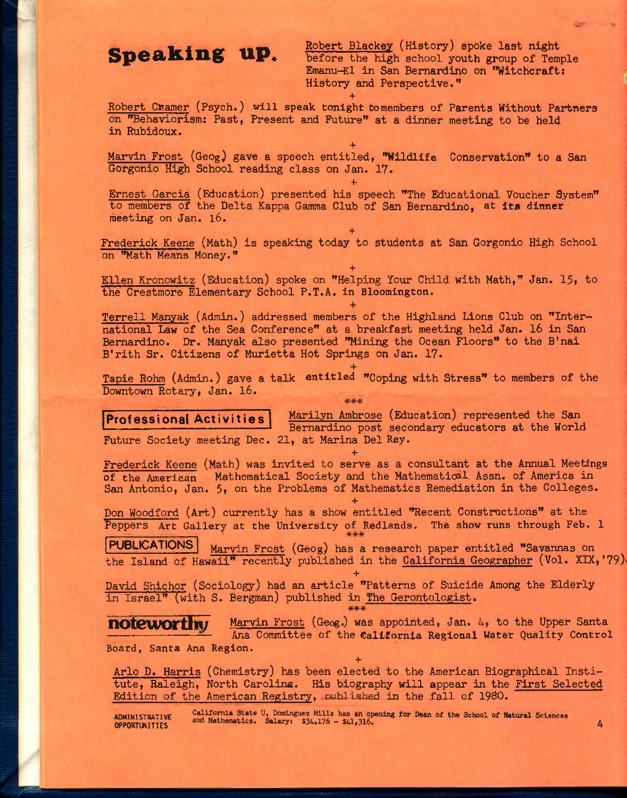**Speaking up.** Robert Blackey (History) spoke last night **Speaking up.** before the high school youth group of Temple Emanu-El in San Bernardino on ''Witchcraft: History and Perspective."

**+**  Robert Cramer (Psych.) will speak tonight tomembers of Parents Without Partners on "Behaviorism: Past, Present and Future" at a dinner meeting to be held in Rubidoux.

**+**  Marvin Frost (Geog) gave a speech entitled, "Wildlife Conservation" to a San Gorgonio High School reading class on Jan. 17.

Ernest Garcia (Education) presented his speech "The Educational Voucher System" to members of the Delta Kappa Gamma Club of San Bernardino, at ita dinner meeting on Jan. 16.

**+** 

**+**  Frederick Keene (Math) is speaking today to students at San Gorgonio High School on "Math Means Money."

**+**  Ellen Kronowitz (Education) spoke on "Helping Your Child with Math," Jan. 15, to the Crestmore Elementary School P.T.A. in Bloomington.

**+** 

Terrell Manyak (Admin.) addressed members of the Highland Lions Club on "International Law of the Sea Conference" at a breakfast meeting held Jan. 16 in San Bernardino. Dr. Manyak also presented "Mining the Ocean Floors" to the B'nai B'rith Sr. Citizens of Murietta Hot Springs on Jan. 17.

**+**  Tapie Rohm (Admin.) gave a talk entitled "Coping with Stress" to members of the Downtown Rotary, Jan. l6. W w

### Professional Activities

Marilyn Ambrose (Education) represented the San Bernardino post secondary educators at the World Future Society meeting Dec. 21, at Marina Del Key.

**+**  Frederick Keene (Math) was invited to serve as a consultant at the Annual Meetings of the American Mathematical Society and the Mathematical. Assn. of America in San Antonio, Jan. 5, on the Problems of Mathematics Remediation in the Colleges.

**+**  Don Woodford (Art) currently has a show entitled "Recent Constructions" at the Peppers Art Gallery at the University of Redlands. The show runs through Feb. 1

PUBLICATIONS' Marvin Frost (Geog) has a research paper entitled "Savannas on the Island of Hawaii" recently published in the California Geographer (Vol. XIX, '79)

**+**  David Shichor (Sociology) had an article "Patterns of Suicide Among the Elderly in Israel" (with S. Bergman) published in The Gerontologist.<br>\*\*\*

notewort w Marvin Frost (Geog.) was appointed, Jan. 4, to the Upper Santa — Ana Committee of the Califarnia Regional Water Quality Control Board, Santa Ana Region.

**+** 

Arlo D. Harris (Chemistry) has been elected to the American Biographical Institute, Raleigh, North Carolina. His biography will appear in the First Selected Edition of the American Registry, published in the fall of 1980.

ADMINISTRATIVE California State U, Dominguez Hills has an opening for Dean of the School of Natural Sciences (<br>OPPORTUNITIES (4) Mathematics. Salary: 334,176 - \$41,316.